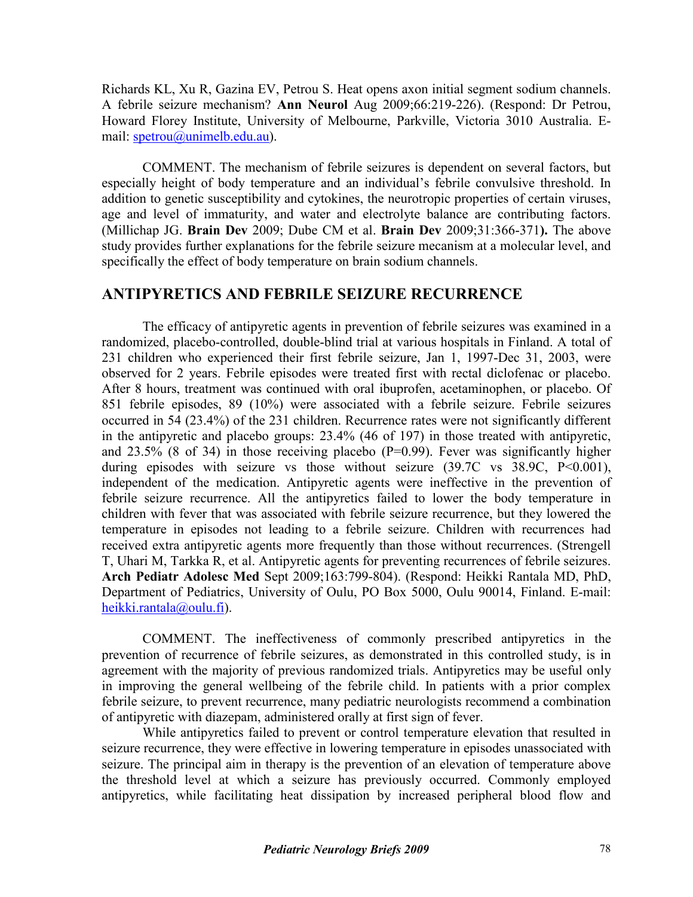Richards KL, Xu R, Gazina EV, Petrou S. Heat opens axon initial segment sodium channels. A febrile seizure mechanism? **Ann Neurol** Aug 2009;66:219-226). (Respond: Dr Petrou, Howard Florey Institute, University of Melbourne, Parkville, Victoria 3010 Australia. Email: [spetrou@unimelb.edu.au\)](mailto:spetrou@unimelb.edu.au).

COMMENT. The mechanism of febrile seizures is dependent on several factors, but especially height of body temperature and an individual's febrile convulsive threshold. In addition to genetic susceptibility and cytokines, the neurotropic properties of certain viruses, age and level of immaturity, and water and electrolyte balance are contributing factors. (Millichap JG. **Brain Dev** 2009; Dube CM et al. **Brain Dev** 2009;31:366-371**).** The above study provides further explanations for the febrile seizure mecanism at a molecular level, and specifically the effect of body temperature on brain sodium channels.

## **ANTIPYRETICS AND FEBRILE SEIZURE RECURRENCE**

The efficacy of antipyretic agents in prevention of febrile seizures was examined in a randomized, placebo-controlled, double-blind trial at various hospitals in Finland. A total of 231 children who experienced their first febrile seizure, Jan 1, 1997-Dec 31, 2003, were observed for 2 years. Febrile episodes were treated first with rectal diclofenac or placebo. After 8 hours, treatment was continued with oral ibuprofen, acetaminophen, or placebo. Of 851 febrile episodes, 89 (10%) were associated with a febrile seizure. Febrile seizures occurred in 54 (23.4%) of the 231 children. Recurrence rates were not significantly different in the antipyretic and placebo groups: 23.4% (46 of 197) in those treated with antipyretic, and  $23.5\%$  (8 of 34) in those receiving placebo (P=0.99). Fever was significantly higher during episodes with seizure vs those without seizure (39.7C vs 38.9C, P<0.001), independent of the medication. Antipyretic agents were ineffective in the prevention of febrile seizure recurrence. All the antipyretics failed to lower the body temperature in children with fever that was associated with febrile seizure recurrence, but they lowered the temperature in episodes not leading to a febrile seizure. Children with recurrences had received extra antipyretic agents more frequently than those without recurrences. (Strengell T, Uhari M, Tarkka R, et al. Antipyretic agents for preventing recurrences of febrile seizures. **Arch Pediatr Adolesc Med** Sept 2009;163:799-804). (Respond: Heikki Rantala MD, PhD, Department of Pediatrics, University of Oulu, PO Box 5000, Oulu 90014, Finland. E-mail: [heikki.rantala@oulu.fi\)](mailto:heikki.rantala@oulu.fi).

COMMENT. The ineffectiveness of commonly prescribed antipyretics in the prevention of recurrence of febrile seizures, as demonstrated in this controlled study, is in agreement with the majority of previous randomized trials. Antipyretics may be useful only in improving the general wellbeing of the febrile child. In patients with a prior complex febrile seizure, to prevent recurrence, many pediatric neurologists recommend a combination of antipyretic with diazepam, administered orally at first sign of fever.

While antipyretics failed to prevent or control temperature elevation that resulted in seizure recurrence, they were effective in lowering temperature in episodes unassociated with seizure. The principal aim in therapy is the prevention of an elevation of temperature above the threshold level at which a seizure has previously occurred. Commonly employed antipyretics, while facilitating heat dissipation by increased peripheral blood flow and